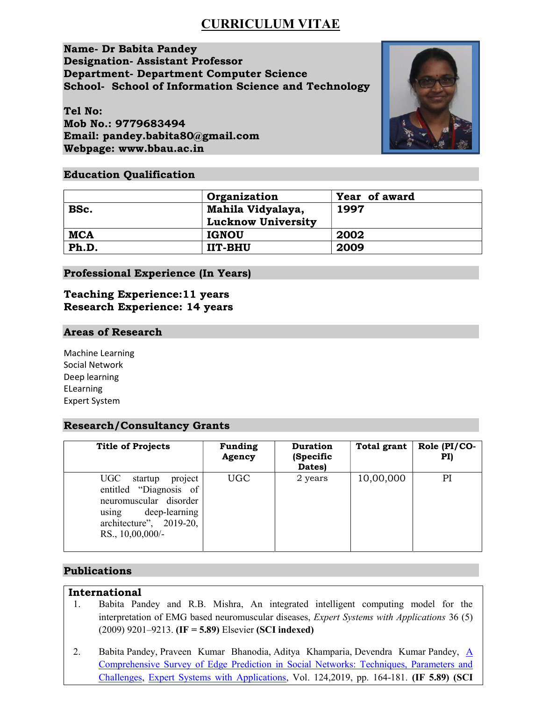# CURRICULUM VITAE

Name- Dr Babita Pandey Designation- Assistant Professor Department- Department Computer Science School- School of Information Science and Technology

Tel No: Mob No.: 9779683494 Email: pandey.babita80@gmail.com Webpage: www.bbau.ac.in



## Education Qualification

|            | Organization                                   | Year of award |
|------------|------------------------------------------------|---------------|
| BSc.       | Mahila Vidyalaya,<br><b>Lucknow University</b> | 1997          |
| <b>MCA</b> | <b>IGNOU</b>                                   | 2002          |
| Ph.D.      | <b>IIT-BHU</b>                                 | 2009          |

Professional Experience (In Years)

## Teaching Experience:11 years Research Experience: 14 years

### Areas of Research

Machine Learning Social Network Deep learning ELearning Expert System

## Research/Consultancy Grants

| <b>Title of Projects</b>                                                                                                                                  | <b>Funding</b><br>Agency | <b>Duration</b><br>(Specific<br>Dates) | <b>Total grant</b> | Role (PI/CO-<br>PI) |
|-----------------------------------------------------------------------------------------------------------------------------------------------------------|--------------------------|----------------------------------------|--------------------|---------------------|
| UGC<br>startup<br>project<br>entitled "Diagnosis of<br>neuromuscular disorder<br>deep-learning<br>using<br>architecture", $2019-20$ ,<br>RS., 10,00,000/- | <b>UGC</b>               | 2 years                                | 10,00,000          | PI                  |

## Publications

## International

- 1. Babita Pandey and R.B. Mishra, An integrated intelligent computing model for the interpretation of EMG based neuromuscular diseases, *Expert Systems with Applications* 36 (5) (2009) 9201–9213. (IF = 5.89) Elsevier (SCI indexed)
- 2. Babita Pandey, Praveen Kumar Bhanodia, Aditya Khamparia, Devendra Kumar Pandey,  $\underline{A}$ Comprehensive Survey of Edge Prediction in Social Networks: Techniques, Parameters and Challenges, Expert Systems with Applications, Vol. 124,2019, pp. 164-181. (IF 5.89) (SCI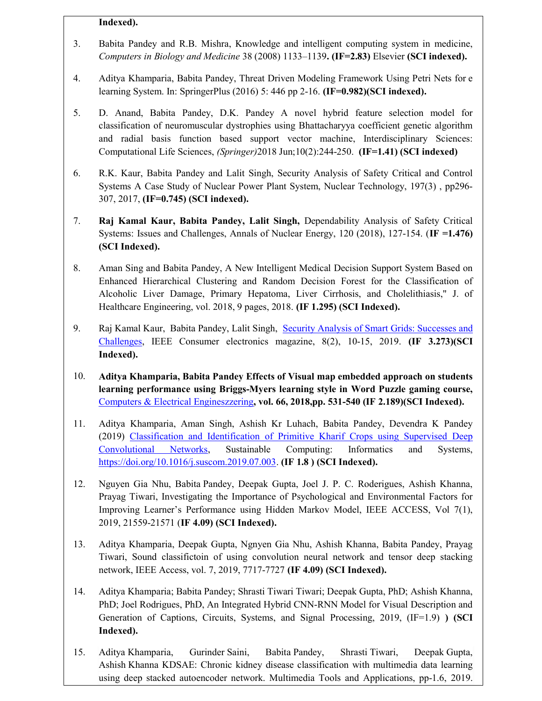#### Indexed).

- 3. Babita Pandey and R.B. Mishra, Knowledge and intelligent computing system in medicine, Computers in Biology and Medicine 38 (2008) 1133–1139. (IF=2.83) Elsevier (SCI indexed).
- 4. Aditya Khamparia, Babita Pandey, Threat Driven Modeling Framework Using Petri Nets for e learning System. In: SpringerPlus (2016) 5: 446 pp 2-16. (IF=0.982)(SCI indexed).
- 5. D. Anand, Babita Pandey, D.K. Pandey A novel hybrid feature selection model for classification of neuromuscular dystrophies using Bhattacharyya coefficient genetic algorithm and radial basis function based support vector machine, Interdisciplinary Sciences: Computational Life Sciences, (Springer)2018 Jun;10(2):244-250. (IF=1.41) (SCI indexed)
- 6. R.K. Kaur, Babita Pandey and Lalit Singh, Security Analysis of Safety Critical and Control Systems A Case Study of Nuclear Power Plant System, Nuclear Technology, 197(3) , pp296- 307, 2017, (IF=0.745) (SCI indexed).
- 7. Raj Kamal Kaur, Babita Pandey, Lalit Singh, Dependability Analysis of Safety Critical Systems: Issues and Challenges, Annals of Nuclear Energy, 120 (2018), 127-154. (IF =1.476) (SCI Indexed).
- 8. Aman Sing and Babita Pandey, A New Intelligent Medical Decision Support System Based on Enhanced Hierarchical Clustering and Random Decision Forest for the Classification of Alcoholic Liver Damage, Primary Hepatoma, Liver Cirrhosis, and Cholelithiasis," J. of Healthcare Engineering, vol. 2018, 9 pages, 2018. (IF 1.295) (SCI Indexed).
- 9. Raj Kamal Kaur, Babita Pandey, Lalit Singh, Security Analysis of Smart Grids: Successes and Challenges, IEEE Consumer electronics magazine, 8(2), 10-15, 2019. (IF 3.273)(SCI Indexed).
- 10. Aditya Khamparia, Babita Pandey Effects of Visual map embedded approach on students learning performance using Briggs-Myers learning style in Word Puzzle gaming course, Computers & Electrical Engineszzering, vol. 66, 2018,pp. 531-540 (IF 2.189)(SCI Indexed).
- 11. Aditya Khamparia, Aman Singh, Ashish Kr Luhach, Babita Pandey, Devendra K Pandey (2019) Classification and Identification of Primitive Kharif Crops using Supervised Deep Convolutional Networks, Sustainable Computing: Informatics and Systems, https://doi.org/10.1016/j.suscom.2019.07.003. (IF 1.8 ) (SCI Indexed).
- 12. Nguyen Gia Nhu, Babita Pandey, Deepak Gupta, Joel J. P. C. Roderigues, Ashish Khanna, Prayag Tiwari, Investigating the Importance of Psychological and Environmental Factors for Improving Learner's Performance using Hidden Markov Model, IEEE ACCESS, Vol 7(1), 2019, 21559-21571 (IF 4.09) (SCI Indexed).
- 13. Aditya Khamparia, Deepak Gupta, Ngnyen Gia Nhu, Ashish Khanna, Babita Pandey, Prayag Tiwari, Sound classifictoin of using convolution neural network and tensor deep stacking network, IEEE Access, vol. 7, 2019, 7717-7727 (IF 4.09) (SCI Indexed).
- 14. Aditya Khamparia; Babita Pandey; Shrasti Tiwari Tiwari; Deepak Gupta, PhD; Ashish Khanna, PhD; Joel Rodrigues, PhD, An Integrated Hybrid CNN-RNN Model for Visual Description and Generation of Captions, Circuits, Systems, and Signal Processing, 2019, (IF=1.9) ) (SCI Indexed).
- 15. Aditya Khamparia, Gurinder Saini, Babita Pandey, Shrasti Tiwari, Deepak Gupta, Ashish Khanna KDSAE: Chronic kidney disease classification with multimedia data learning using deep stacked autoencoder network. Multimedia Tools and Applications, pp-1.6, 2019.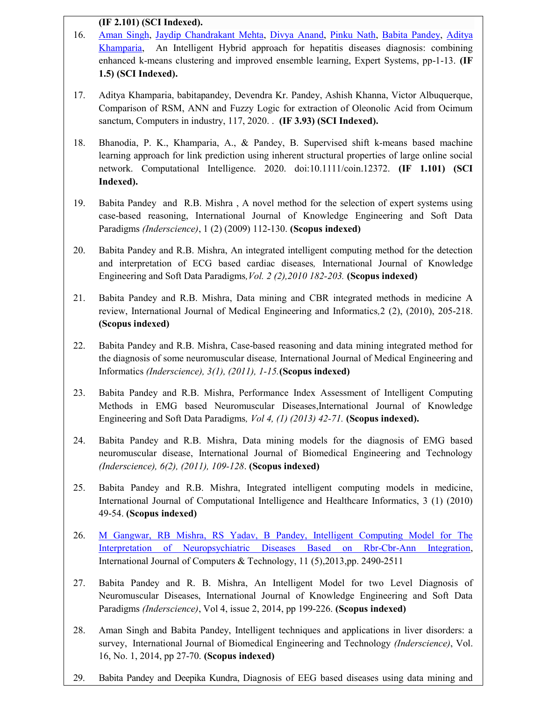### (IF 2.101) (SCI Indexed).

- 16. Aman Singh, Jaydip Chandrakant Mehta, Divya Anand, Pinku Nath, Babita Pandey, Aditya Khamparia, An Intelligent Hybrid approach for hepatitis diseases diagnosis: combining enhanced k-means clustering and improved ensemble learning, Expert Systems, pp-1-13. (IF 1.5) (SCI Indexed).
- 17. Aditya Khamparia, babitapandey, Devendra Kr. Pandey, Ashish Khanna, Victor Albuquerque, Comparison of RSM, ANN and Fuzzy Logic for extraction of Oleonolic Acid from Ocimum sanctum, Computers in industry, 117, 2020. . (IF 3.93) (SCI Indexed).
- 18. Bhanodia, P. K., Khamparia, A., & Pandey, B. Supervised shift k-means based machine learning approach for link prediction using inherent structural properties of large online social network. Computational Intelligence. 2020. doi:10.1111/coin.12372. (IF 1.101) (SCI Indexed).
- 19. Babita Pandey and R.B. Mishra , A novel method for the selection of expert systems using case-based reasoning, International Journal of Knowledge Engineering and Soft Data Paradigms (Inderscience), 1 (2) (2009) 112-130. (Scopus indexed)
- 20. Babita Pandey and R.B. Mishra, An integrated intelligent computing method for the detection and interpretation of ECG based cardiac diseases, International Journal of Knowledge Engineering and Soft Data Paradigms, Vol. 2 (2), 2010 182-203. (Scopus indexed)
- 21. Babita Pandey and R.B. Mishra, Data mining and CBR integrated methods in medicine A review, International Journal of Medical Engineering and Informatics,2 (2), (2010), 205-218. (Scopus indexed)
- 22. Babita Pandey and R.B. Mishra, Case-based reasoning and data mining integrated method for the diagnosis of some neuromuscular disease, International Journal of Medical Engineering and Informatics (Inderscience), 3(1), (2011), 1-15.(Scopus indexed)
- 23. Babita Pandey and R.B. Mishra, Performance Index Assessment of Intelligent Computing Methods in EMG based Neuromuscular Diseases,International Journal of Knowledge Engineering and Soft Data Paradigms, Vol 4, (1) (2013) 42-71. (Scopus indexed).
- 24. Babita Pandey and R.B. Mishra, Data mining models for the diagnosis of EMG based neuromuscular disease, International Journal of Biomedical Engineering and Technology (Inderscience), 6(2), (2011), 109-128. (Scopus indexed)
- 25. Babita Pandey and R.B. Mishra, Integrated intelligent computing models in medicine, International Journal of Computational Intelligence and Healthcare Informatics, 3 (1) (2010) 49-54. (Scopus indexed)
- 26. M Gangwar, RB Mishra, RS Yadav, B Pandey, Intelligent Computing Model for The Interpretation of Neuropsychiatric Diseases Based on Rbr-Cbr-Ann Integration, International Journal of Computers & Technology, 11 (5),2013,pp. 2490-2511
- 27. Babita Pandey and R. B. Mishra, An Intelligent Model for two Level Diagnosis of Neuromuscular Diseases, International Journal of Knowledge Engineering and Soft Data Paradigms (Inderscience), Vol 4, issue 2, 2014, pp 199-226. (Scopus indexed)
- 28. Aman Singh and Babita Pandey, Intelligent techniques and applications in liver disorders: a survey, International Journal of Biomedical Engineering and Technology *(Inderscience)*, Vol. 16, No. 1, 2014, pp 27-70. (Scopus indexed)
- 29. Babita Pandey and Deepika Kundra, Diagnosis of EEG based diseases using data mining and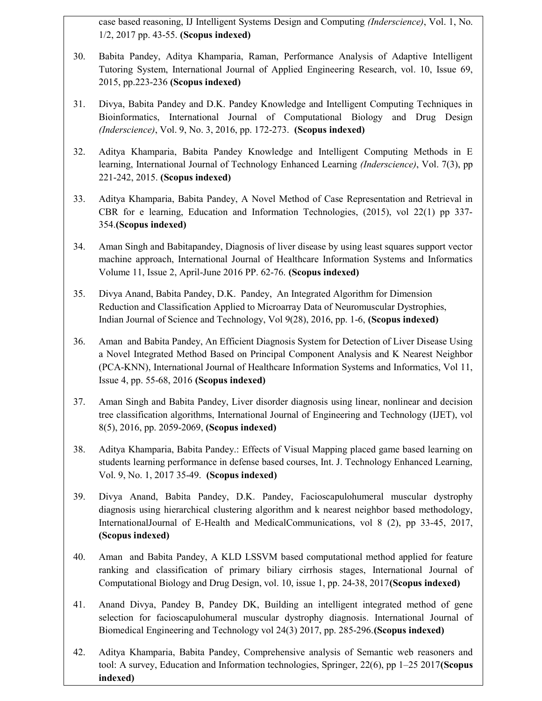case based reasoning, IJ Intelligent Systems Design and Computing (Inderscience), Vol. 1, No. 1/2, 2017 pp. 43-55. (Scopus indexed)

- 30. Babita Pandey, Aditya Khamparia, Raman, Performance Analysis of Adaptive Intelligent Tutoring System, International Journal of Applied Engineering Research, vol. 10, Issue 69, 2015, pp.223-236 (Scopus indexed)
- 31. Divya, Babita Pandey and D.K. Pandey Knowledge and Intelligent Computing Techniques in Bioinformatics, International Journal of Computational Biology and Drug Design (Inderscience), Vol. 9, No. 3, 2016, pp. 172-273. (Scopus indexed)
- 32. Aditya Khamparia, Babita Pandey Knowledge and Intelligent Computing Methods in E learning, International Journal of Technology Enhanced Learning *(Inderscience)*, Vol. 7(3), pp 221-242, 2015. (Scopus indexed)
- 33. Aditya Khamparia, Babita Pandey, A Novel Method of Case Representation and Retrieval in CBR for e learning, Education and Information Technologies, (2015), vol 22(1) pp 337- 354.(Scopus indexed)
- 34. Aman Singh and Babitapandey, Diagnosis of liver disease by using least squares support vector machine approach, International Journal of Healthcare Information Systems and Informatics Volume 11, Issue 2, April-June 2016 PP. 62-76. (Scopus indexed)
- 35. Divya Anand, Babita Pandey, D.K. Pandey, An Integrated Algorithm for Dimension Reduction and Classification Applied to Microarray Data of Neuromuscular Dystrophies, Indian Journal of Science and Technology, Vol 9(28), 2016, pp. 1-6, (Scopus indexed)
- 36. Aman and Babita Pandey, An Efficient Diagnosis System for Detection of Liver Disease Using a Novel Integrated Method Based on Principal Component Analysis and K Nearest Neighbor (PCA-KNN), International Journal of Healthcare Information Systems and Informatics, Vol 11, Issue 4, pp. 55-68, 2016 (Scopus indexed)
- 37. Aman Singh and Babita Pandey, Liver disorder diagnosis using linear, nonlinear and decision tree classification algorithms, International Journal of Engineering and Technology (IJET), vol 8(5), 2016, pp. 2059-2069, (Scopus indexed)
- 38. Aditya Khamparia, Babita Pandey.: Effects of Visual Mapping placed game based learning on students learning performance in defense based courses, Int. J. Technology Enhanced Learning, Vol. 9, No. 1, 2017 35-49. (Scopus indexed)
- 39. Divya Anand, Babita Pandey, D.K. Pandey, Facioscapulohumeral muscular dystrophy diagnosis using hierarchical clustering algorithm and k nearest neighbor based methodology, InternationalJournal of E-Health and MedicalCommunications, vol 8 (2), pp 33-45, 2017, (Scopus indexed)
- 40. Aman and Babita Pandey, A KLD LSSVM based computational method applied for feature ranking and classification of primary biliary cirrhosis stages, International Journal of Computational Biology and Drug Design, vol. 10, issue 1, pp. 24-38, 2017(Scopus indexed)
- 41. Anand Divya, Pandey B, Pandey DK, Building an intelligent integrated method of gene selection for facioscapulohumeral muscular dystrophy diagnosis. International Journal of Biomedical Engineering and Technology vol 24(3) 2017, pp. 285-296.(Scopus indexed)
- 42. Aditya Khamparia, Babita Pandey, Comprehensive analysis of Semantic web reasoners and tool: A survey, Education and Information technologies, Springer,  $22(6)$ , pp  $1-25$  2017(**Scopus** indexed)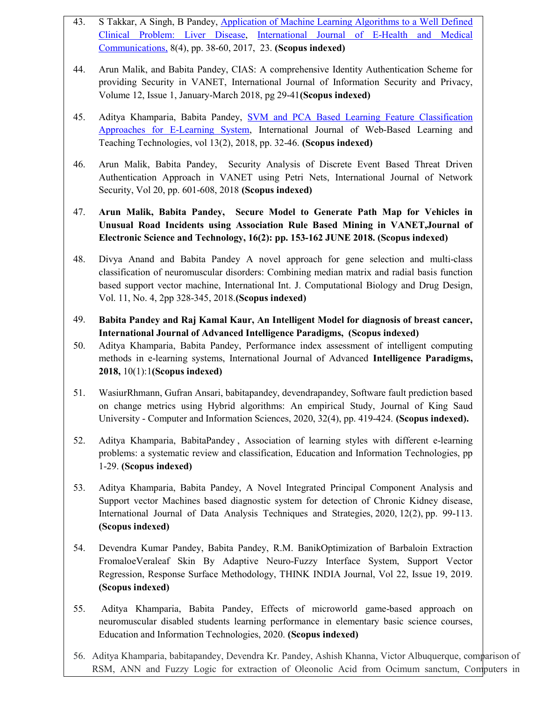- 43. S Takkar, A Singh, B Pandey, Application of Machine Learning Algorithms to a Well Defined Clinical Problem: Liver Disease, International Journal of E-Health and Medical Communications, 8(4), pp. 38-60, 2017, 23. (Scopus indexed)
- 44. Arun Malik, and Babita Pandey, CIAS: A comprehensive Identity Authentication Scheme for providing Security in VANET, International Journal of Information Security and Privacy, Volume 12, Issue 1, January-March 2018, pg 29-41(Scopus indexed)
- 45. Aditya Khamparia, Babita Pandey, **SVM and PCA Based Learning Feature Classification** Approaches for E-Learning System, International Journal of Web-Based Learning and Teaching Technologies, vol 13(2), 2018, pp. 32-46. (Scopus indexed)
- 46. Arun Malik, Babita Pandey, Security Analysis of Discrete Event Based Threat Driven Authentication Approach in VANET using Petri Nets, International Journal of Network Security, Vol 20, pp. 601-608, 2018 (Scopus indexed)
- 47. Arun Malik, Babita Pandey, Secure Model to Generate Path Map for Vehicles in Unusual Road Incidents using Association Rule Based Mining in VANET,Journal of Electronic Science and Technology, 16(2): pp. 153-162 JUNE 2018. (Scopus indexed)
- 48. Divya Anand and Babita Pandey A novel approach for gene selection and multi-class classification of neuromuscular disorders: Combining median matrix and radial basis function based support vector machine, International Int. J. Computational Biology and Drug Design, Vol. 11, No. 4, 2pp 328-345, 2018.(Scopus indexed)
- 49. Babita Pandey and Raj Kamal Kaur, An Intelligent Model for diagnosis of breast cancer, International Journal of Advanced Intelligence Paradigms, (Scopus indexed)
- 50. Aditya Khamparia, Babita Pandey, Performance index assessment of intelligent computing methods in e-learning systems, International Journal of Advanced Intelligence Paradigms, 2018, 10(1):1(Scopus indexed)
- 51. WasiurRhmann, Gufran Ansari, babitapandey, devendrapandey, Software fault prediction based on change metrics using Hybrid algorithms: An empirical Study, Journal of King Saud University - Computer and Information Sciences, 2020, 32(4), pp. 419-424. (Scopus indexed).
- 52. Aditya Khamparia, BabitaPandey , Association of learning styles with different e-learning problems: a systematic review and classification, Education and Information Technologies, pp 1-29. (Scopus indexed)
- 53. Aditya Khamparia, Babita Pandey, A Novel Integrated Principal Component Analysis and Support vector Machines based diagnostic system for detection of Chronic Kidney disease, International Journal of Data Analysis Techniques and Strategies, 2020, 12(2), pp. 99-113. (Scopus indexed)
- 54. Devendra Kumar Pandey, Babita Pandey, R.M. BanikOptimization of Barbaloin Extraction FromaloeVeraleaf Skin By Adaptive Neuro-Fuzzy Interface System, Support Vector Regression, Response Surface Methodology, THINK INDIA Journal, Vol 22, Issue 19, 2019. (Scopus indexed)
- 55. Aditya Khamparia, Babita Pandey, Effects of microworld game-based approach on neuromuscular disabled students learning performance in elementary basic science courses, Education and Information Technologies, 2020. (Scopus indexed)
- 56. Aditya Khamparia, babitapandey, Devendra Kr. Pandey, Ashish Khanna, Victor Albuquerque, comparison of RSM, ANN and Fuzzy Logic for extraction of Oleonolic Acid from Ocimum sanctum, Computers in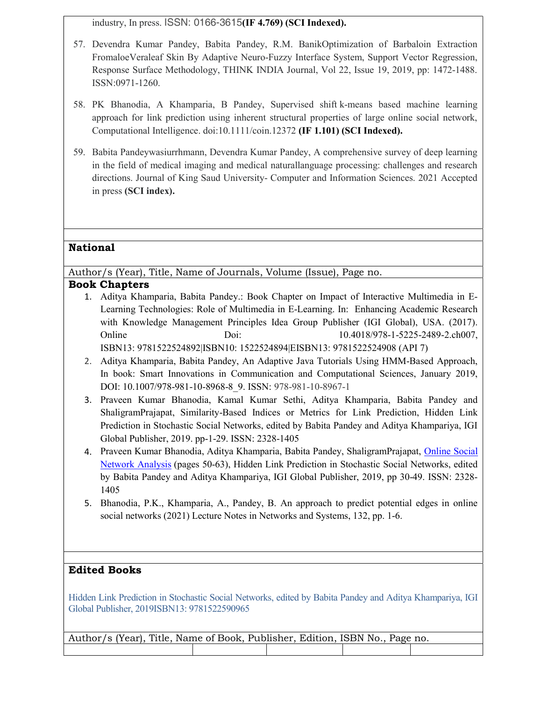industry, In press. ISSN: 0166-3615(IF 4.769) (SCI Indexed).

- 57. Devendra Kumar Pandey, Babita Pandey, R.M. BanikOptimization of Barbaloin Extraction FromaloeVeraleaf Skin By Adaptive Neuro-Fuzzy Interface System, Support Vector Regression, Response Surface Methodology, THINK INDIA Journal, Vol 22, Issue 19, 2019, pp: 1472-1488. ISSN:0971-1260.
- 58. PK Bhanodia, A Khamparia, B Pandey, Supervised shift k‐means based machine learning approach for link prediction using inherent structural properties of large online social network, Computational Intelligence. doi:10.1111/coin.12372 (IF 1.101) (SCI Indexed).
- 59. Babita Pandeywasiurrhmann, Devendra Kumar Pandey, A comprehensive survey of deep learning in the field of medical imaging and medical naturallanguage processing: challenges and research directions. Journal of King Saud University- Computer and Information Sciences. 2021 Accepted in press (SCI index).

## National

Author/s (Year), Title, Name of Journals, Volume (Issue), Page no.

## Book Chapters

- 1. Aditya Khamparia, Babita Pandey.: Book Chapter on Impact of Interactive Multimedia in E-Learning Technologies: Role of Multimedia in E-Learning. In: Enhancing Academic Research with Knowledge Management Principles Idea Group Publisher (IGI Global), USA. (2017). Online Doi: 10.4018/978-1-5225-2489-2.ch007, ISBN13: 9781522524892|ISBN10: 1522524894|EISBN13: 9781522524908 (API 7)
- 2. Aditya Khamparia, Babita Pandey, An Adaptive Java Tutorials Using HMM-Based Approach, In book: Smart Innovations in Communication and Computational Sciences, January 2019, DOI: 10.1007/978-981-10-8968-8\_9. ISSN: 978-981-10-8967-1
- 3. Praveen Kumar Bhanodia, Kamal Kumar Sethi, Aditya Khamparia, Babita Pandey and ShaligramPrajapat, Similarity-Based Indices or Metrics for Link Prediction, Hidden Link Prediction in Stochastic Social Networks, edited by Babita Pandey and Aditya Khampariya, IGI Global Publisher, 2019. pp-1-29. ISSN: 2328-1405
- 4. Praveen Kumar Bhanodia, Aditya Khamparia, Babita Pandey, ShaligramPrajapat, Online Social Network Analysis (pages 50-63), Hidden Link Prediction in Stochastic Social Networks, edited by Babita Pandey and Aditya Khampariya, IGI Global Publisher, 2019, pp 30-49. ISSN: 2328- 1405
- 5. Bhanodia, P.K., Khamparia, A., Pandey, B. An approach to predict potential edges in online social networks (2021) Lecture Notes in Networks and Systems, 132, pp. 1-6.

## Edited Books

Hidden Link Prediction in Stochastic Social Networks, edited by Babita Pandey and Aditya Khampariya, IGI Global Publisher, 2019ISBN13: 9781522590965

| Author/s (Year), Title, Name of Book, Publisher, Edition, ISBN No., Page no. |  |  |
|------------------------------------------------------------------------------|--|--|
|                                                                              |  |  |